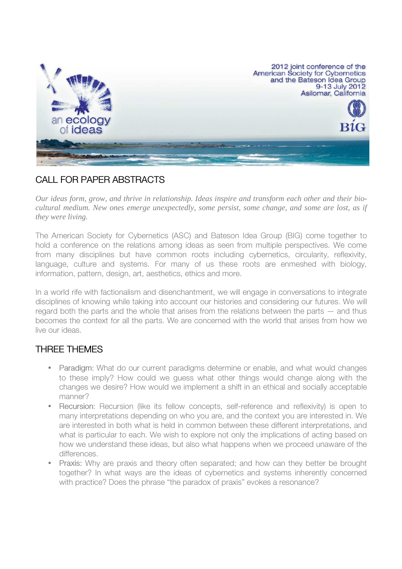

# CALL FOR PAPER ABSTRACTS

*Our ideas form, grow, and thrive in relationship. Ideas inspire and transform each other and their biocultural medium. New ones emerge unexpectedly, some persist, some change, and some are lost, as if they were living.* 

The American Society for Cybernetics (ASC) and Bateson Idea Group (BIG) come together to hold a conference on the relations among ideas as seen from multiple perspectives. We come from many disciplines but have common roots including cybernetics, circularity, reflexivity, language, culture and systems. For many of us these roots are enmeshed with biology, information, pattern, design, art, aesthetics, ethics and more.

In a world rife with factionalism and disenchantment, we will engage in conversations to integrate disciplines of knowing while taking into account our histories and considering our futures. We will regard both the parts and the whole that arises from the relations between the parts — and thus becomes the context for all the parts. We are concerned with the world that arises from how we live our ideas.

## THREE THEMES

- Paradigm: What do our current paradigms determine or enable, and what would changes to these imply? How could we guess what other things would change along with the changes we desire? How would we implement a shift in an ethical and socially acceptable manner?
- Recursion: Recursion (like its fellow concepts, self-reference and reflexivity) is open to many interpretations depending on who you are, and the context you are interested in. We are interested in both what is held in common between these different interpretations, and what is particular to each. We wish to explore not only the implications of acting based on how we understand these ideas, but also what happens when we proceed unaware of the differences.
- Praxis: Why are praxis and theory often separated; and how can they better be brought together? In what ways are the ideas of cybernetics and systems inherently concerned with practice? Does the phrase "the paradox of praxis" evokes a resonance?